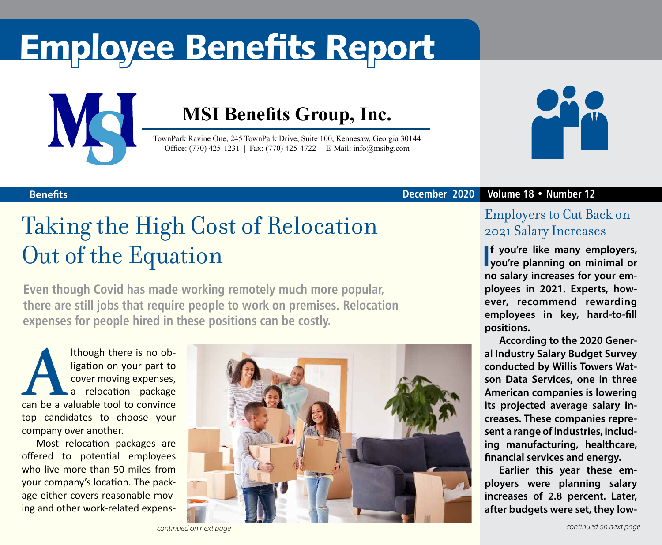# Employee Benefits Report



### **MSI Benefits Group, Inc.**

TownPark Ravine One, 245 TownPark Drive, Suite 100, Kennesaw, Georgia 30144 Office: (770) 425-1231 | Fax: (770) 425-4722 | E-Mail: info@msibg.com



#### **Benefits December 2020 Volume 18 • Number 12**

### Taking the High Cost of Relocation Out of the Equation

**Even though Covid has made working remotely much more popular, there are still jobs that require people to work on premises. Relocation expenses for people hired in these positions can be costly.** 

**ALTERT ISLEE ISLEE ISLEE ISLEE CONCRETENT**<br> **A** a relocation package<br>
can be a valuable tool to convince ligation on your part to cover moving expenses, a relocation package top candidates to choose your company over another.

Most relocation packages are offered to potential employees who live more than 50 miles from your company's location. The package either covers reasonable moving and other work-related expens-



### Employers to Cut Back on 2021 Salary Increases

**I you're planning on minimal or f you're like many employers, no salary increases for your employees in 2021. Experts, however, recommend rewarding employees in key, hard-to-fill positions.**

**According to the 2020 General Industry Salary Budget Survey conducted by Willis Towers Watson Data Services, one in three American companies is lowering its projected average salary increases. These companies represent a range of industries, including manufacturing, healthcare, financial services and energy.** 

**Earlier this year these employers were planning salary increases of 2.8 percent. Later, after budgets were set, they low-**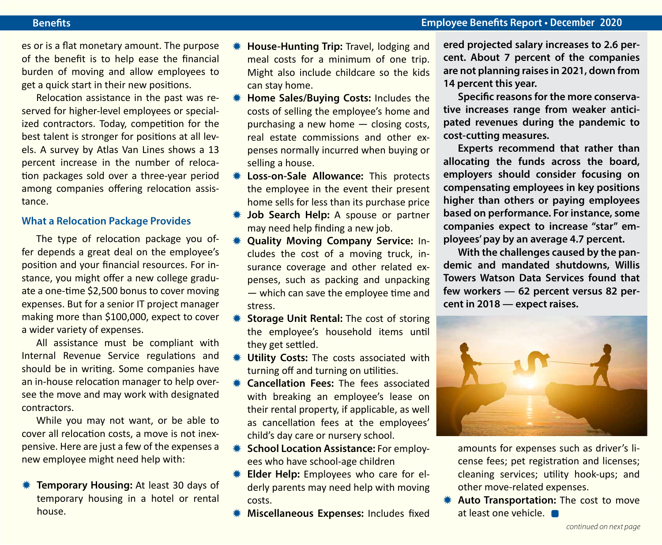#### **Benefits Employee Benefits Report • December 2020**

es or is a flat monetary amount. The purpose of the benefit is to help ease the financial burden of moving and allow employees to get a quick start in their new positions.

Relocation assistance in the past was reserved for higher-level employees or specialized contractors. Today, competition for the best talent is stronger for positions at all levels. A survey by Atlas Van Lines shows a 13 percent increase in the number of relocation packages sold over a three-year period among companies offering relocation assistance.

### **What a Relocation Package Provides**

The type of relocation package you offer depends a great deal on the employee's position and your financial resources. For instance, you might offer a new college graduate a one-time \$2,500 bonus to cover moving expenses. But for a senior IT project manager making more than \$100,000, expect to cover a wider variety of expenses.

All assistance must be compliant with Internal Revenue Service regulations and should be in writing. Some companies have an in-house relocation manager to help oversee the move and may work with designated contractors.

While you may not want, or be able to cover all relocation costs, a move is not inexpensive. Here are just a few of the expenses a new employee might need help with:

**WE Temporary Housing:** At least 30 days of temporary housing in a hotel or rental house.

- **House-Hunting Trip: Travel, lodging and** meal costs for a minimum of one trip. Might also include childcare so the kids can stay home.
- **\* Home Sales/Buying Costs: Includes the** costs of selling the employee's home and purchasing a new home — closing costs, real estate commissions and other expenses normally incurred when buying or selling a house.
- **\* Loss-on-Sale Allowance:** This protects the employee in the event their present home sells for less than its purchase price
- **\* Job Search Help:** A spouse or partner may need help finding a new job.
- **\* Quality Moving Company Service: In**cludes the cost of a moving truck, insurance coverage and other related expenses, such as packing and unpacking — which can save the employee time and stress.
- **Keta Storage Unit Rental:** The cost of storing the employee's household items until they get settled.
- **\* Utility Costs:** The costs associated with turning off and turning on utilities.
- **K** Cancellation Fees: The fees associated with breaking an employee's lease on their rental property, if applicable, as well as cancellation fees at the employees' child's day care or nursery school.
- **K** School Location Assistance: For employees who have school-age children
- **KELGERTHELE:** Employees who care for elderly parents may need help with moving costs.
- **Wiscellaneous Expenses: Includes fixed**

**ered projected salary increases to 2.6 percent. About 7 percent of the companies are not planning raises in 2021, down from 14 percent this year.**

**Specific reasons for the more conservative increases range from weaker anticipated revenues during the pandemic to cost-cutting measures.** 

**Experts recommend that rather than allocating the funds across the board, employers should consider focusing on compensating employees in key positions higher than others or paying employees based on performance. For instance, some companies expect to increase "star" employees' pay by an average 4.7 percent.** 

**With the challenges caused by the pandemic and mandated shutdowns, Willis Towers Watson Data Services found that few workers — 62 percent versus 82 percent in 2018 — expect raises.**



amounts for expenses such as driver's license fees; pet registration and licenses; cleaning services; utility hook-ups; and other move-related expenses.

**\* Auto Transportation:** The cost to move at least one vehicle.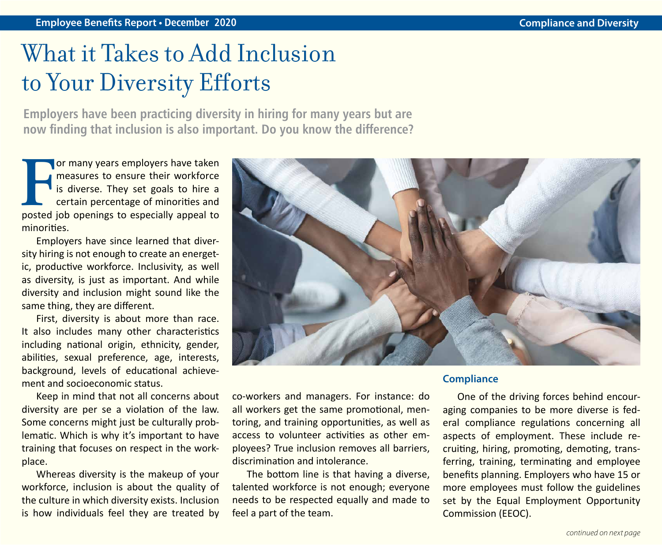## What it Takes to Add Inclusion to Your Diversity Efforts

**Employers have been practicing diversity in hiring for many years but are now finding that inclusion is also important. Do you know the difference?**

**F** posted job openings to especially appeal to or many years employers have taken measures to ensure their workforce is diverse. They set goals to hire a certain percentage of minorities and minorities.

Employers have since learned that diversity hiring is not enough to create an energetic, productive workforce. Inclusivity, as well as diversity, is just as important. And while diversity and inclusion might sound like the same thing, they are different.

First, diversity is about more than race. It also includes many other characteristics including national origin, ethnicity, gender, abilities, sexual preference, age, interests, background, levels of educational achievement and socioeconomic status.

Keep in mind that not all concerns about diversity are per se a violation of the law. Some concerns might just be culturally problematic. Which is why it's important to have training that focuses on respect in the workplace.

Whereas diversity is the makeup of your workforce, inclusion is about the quality of the culture in which diversity exists. Inclusion is how individuals feel they are treated by



co-workers and managers. For instance: do all workers get the same promotional, mentoring, and training opportunities, as well as access to volunteer activities as other employees? True inclusion removes all barriers, discrimination and intolerance.

The bottom line is that having a diverse, talented workforce is not enough; everyone needs to be respected equally and made to feel a part of the team.

#### **Compliance**

One of the driving forces behind encouraging companies to be more diverse is federal compliance regulations concerning all aspects of employment. These include recruiting, hiring, promoting, demoting, transferring, training, terminating and employee benefits planning. Employers who have 15 or more employees must follow the guidelines set by the Equal Employment Opportunity Commission (EEOC).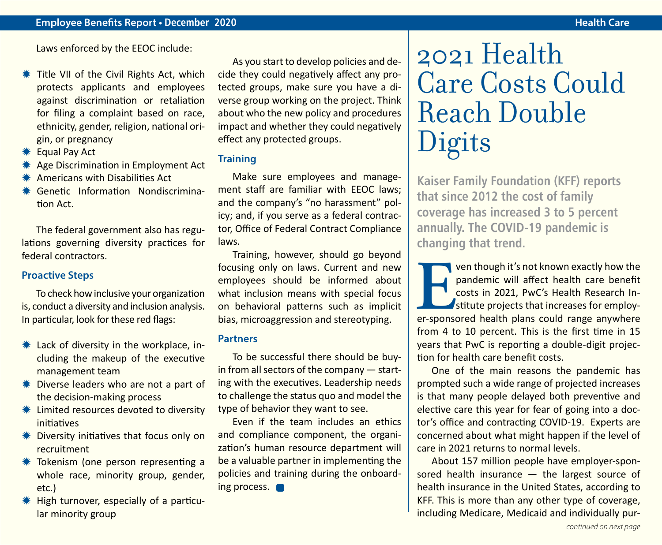Laws enforced by the EEOC include:

- Title VII of the Civil Rights Act, which protects applicants and employees against discrimination or retaliation for filing a complaint based on race, ethnicity, gender, religion, national origin, or pregnancy
- $*$  **Equal Pay Act**
- Age Discrimination in Employment Act
- $*$  Americans with Disabilities Act
- **\* Genetic Information Nondiscrimina**tion Act.

The federal government also has regulations governing diversity practices for federal contractors.

#### **Proactive Steps**

To check how inclusive your organization is, conduct a diversity and inclusion analysis. In particular, look for these red flags:

- $*$  Lack of diversity in the workplace, including the makeup of the executive management team
- $*$  Diverse leaders who are not a part of the decision-making process
- $*$  Limited resources devoted to diversity initiatives
- $*$  Diversity initiatives that focus only on recruitment
- **\* Tokenism (one person representing a** whole race, minority group, gender, etc.)
- $*$  High turnover, especially of a particular minority group

As you start to develop policies and decide they could negatively affect any protected groups, make sure you have a diverse group working on the project. Think about who the new policy and procedures impact and whether they could negatively effect any protected groups.

#### **Training**

Make sure employees and management staff are familiar with EEOC laws; and the company's "no harassment" policy; and, if you serve as a federal contractor, Office of Federal Contract Compliance laws.

Training, however, should go beyond focusing only on laws. Current and new employees should be informed about what inclusion means with special focus on behavioral patterns such as implicit bias, microaggression and stereotyping.

#### **Partners**

To be successful there should be buyin from all sectors of the company — starting with the executives. Leadership needs to challenge the status quo and model the type of behavior they want to see.

Even if the team includes an ethics and compliance component, the organization's human resource department will be a valuable partner in implementing the policies and training during the onboarding process.

## 2021 Health Care Costs Could Reach Double Digits

**Kaiser Family Foundation (KFF) reports that since 2012 the cost of family coverage has increased 3 to 5 percent annually. The COVID-19 pandemic is changing that trend.**

**Even though it's not known exactly how the pandemic will affect health care benefit costs in 2021, PwC's Health Research Institute projects that increases for employer-sponsored health plans could range anywhere** pandemic will affect health care benefit costs in 2021, PwC's Health Research Institute projects that increases for employfrom 4 to 10 percent. This is the first time in 15 years that PwC is reporting a double-digit projection for health care benefit costs.

One of the main reasons the pandemic has prompted such a wide range of projected increases is that many people delayed both preventive and elective care this year for fear of going into a doctor's office and contracting COVID-19. Experts are concerned about what might happen if the level of care in 2021 returns to normal levels.

About 157 million people have employer-sponsored health insurance — the largest source of health insurance in the United States, according to KFF. This is more than any other type of coverage, including Medicare, Medicaid and individually pur-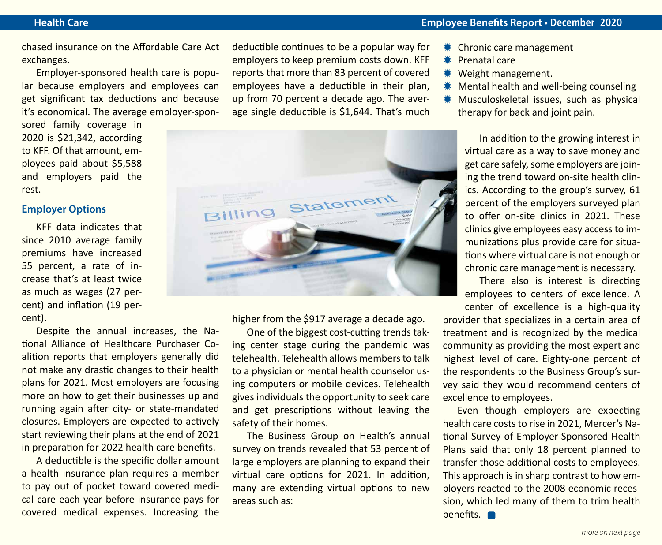#### **Health Care Employee Benefits Report • December 2020**

chased insurance on the Affordable Care Act exchanges.

Employer-sponsored health care is popular because employers and employees can get significant tax deductions and because it's economical. The average employer-spon-

sored family coverage in 2020 is \$21,342, according to KFF. Of that amount, employees paid about \$5,588 and employers paid the rest.

#### **Employer Options**

KFF data indicates that since 2010 average family premiums have increased 55 percent, a rate of increase that's at least twice as much as wages (27 percent) and inflation (19 percent).

Despite the annual increases, the National Alliance of Healthcare Purchaser Coalition reports that employers generally did not make any drastic changes to their health plans for 2021. Most employers are focusing more on how to get their businesses up and running again after city- or state-mandated closures. Employers are expected to actively start reviewing their plans at the end of 2021 in preparation for 2022 health care benefits.

A deductible is the specific dollar amount a health insurance plan requires a member to pay out of pocket toward covered medical care each year before insurance pays for covered medical expenses. Increasing the deductible continues to be a popular way for employers to keep premium costs down. KFF reports that more than 83 percent of covered employees have a deductible in their plan, up from 70 percent a decade ago. The average single deductible is \$1,644. That's much



higher from the \$917 average a decade ago.

One of the biggest cost-cutting trends taking center stage during the pandemic was telehealth. Telehealth allows members to talk to a physician or mental health counselor using computers or mobile devices. Telehealth gives individuals the opportunity to seek care and get prescriptions without leaving the safety of their homes.

The Business Group on Health's annual survey on trends revealed that 53 percent of large employers are planning to expand their virtual care options for 2021. In addition, many are extending virtual options to new areas such as:

- \* Chronic care management
- $*$  Prenatal care
- **\*** Weight management.
- $*$  Mental health and well-being counseling
- **WE Musculoskeletal issues, such as physical** therapy for back and joint pain.

In addition to the growing interest in virtual care as a way to save money and get care safely, some employers are joining the trend toward on-site health clinics. According to the group's survey, 61 percent of the employers surveyed plan to offer on-site clinics in 2021. These clinics give employees easy access to immunizations plus provide care for situations where virtual care is not enough or chronic care management is necessary.

There also is interest is directing employees to centers of excellence. A center of excellence is a high-quality

provider that specializes in a certain area of treatment and is recognized by the medical community as providing the most expert and highest level of care. Eighty-one percent of the respondents to the Business Group's survey said they would recommend centers of excellence to employees.

Even though employers are expecting health care costs to rise in 2021, Mercer's National Survey of Employer-Sponsored Health Plans said that only 18 percent planned to transfer those additional costs to employees. This approach is in sharp contrast to how employers reacted to the 2008 economic recession, which led many of them to trim health benefits. **n**